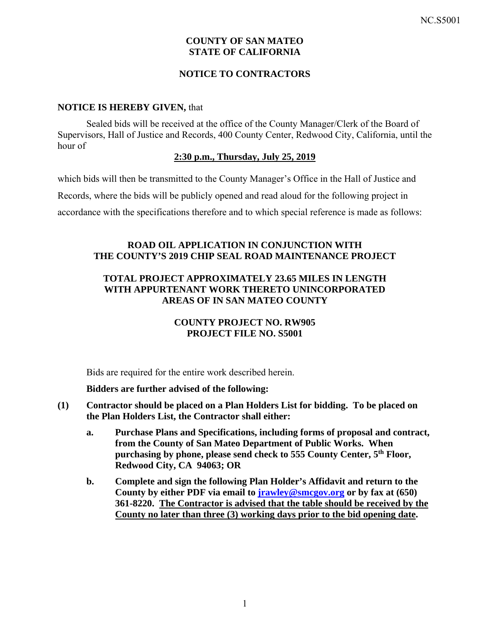# **COUNTY OF SAN MATEO STATE OF CALIFORNIA**

# **NOTICE TO CONTRACTORS**

### **NOTICE IS HEREBY GIVEN,** that

Sealed bids will be received at the office of the County Manager/Clerk of the Board of Supervisors, Hall of Justice and Records, 400 County Center, Redwood City, California, until the hour of

### **2:30 p.m., Thursday, July 25, 2019**

which bids will then be transmitted to the County Manager's Office in the Hall of Justice and

Records, where the bids will be publicly opened and read aloud for the following project in

accordance with the specifications therefore and to which special reference is made as follows:

## **ROAD OIL APPLICATION IN CONJUNCTION WITH THE COUNTY'S 2019 CHIP SEAL ROAD MAINTENANCE PROJECT**

# **TOTAL PROJECT APPROXIMATELY 23.65 MILES IN LENGTH WITH APPURTENANT WORK THERETO UNINCORPORATED AREAS OF IN SAN MATEO COUNTY**

# **COUNTY PROJECT NO. RW905 PROJECT FILE NO. S5001**

Bids are required for the entire work described herein.

## **Bidders are further advised of the following:**

- **(1) Contractor should be placed on a Plan Holders List for bidding. To be placed on the Plan Holders List, the Contractor shall either:** 
	- **a. Purchase Plans and Specifications, including forms of proposal and contract, from the County of San Mateo Department of Public Works. When purchasing by phone, please send check to 555 County Center, 5th Floor, Redwood City, CA 94063; OR**
	- **b. Complete and sign the following Plan Holder's Affidavit and return to the County by either PDF via email to jrawley@smcgov.org or by fax at (650) 361-8220. The Contractor is advised that the table should be received by the County no later than three (3) working days prior to the bid opening date.**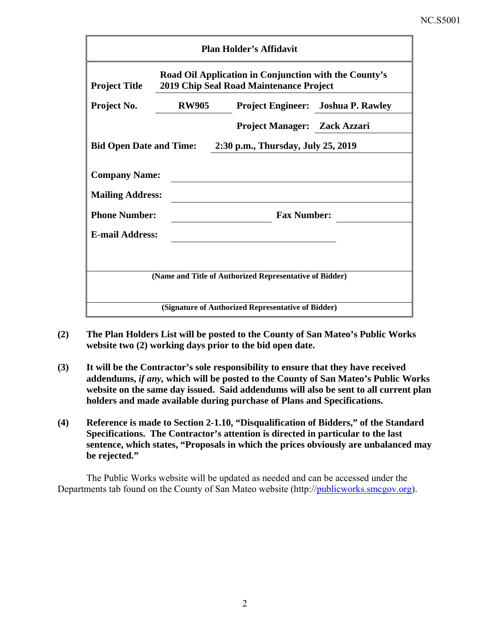| <b>Plan Holder's Affidavit</b>                                                                                           |              |                                     |                                    |  |  |  |
|--------------------------------------------------------------------------------------------------------------------------|--------------|-------------------------------------|------------------------------------|--|--|--|
| Road Oil Application in Conjunction with the County's<br>2019 Chip Seal Road Maintenance Project<br><b>Project Title</b> |              |                                     |                                    |  |  |  |
| Project No.                                                                                                              | <b>RW905</b> |                                     | Project Engineer: Joshua P. Rawley |  |  |  |
|                                                                                                                          |              | <b>Project Manager: Zack Azzari</b> |                                    |  |  |  |
| 2:30 p.m., Thursday, July 25, 2019<br><b>Bid Open Date and Time:</b>                                                     |              |                                     |                                    |  |  |  |
| <b>Company Name:</b><br><b>Mailing Address:</b>                                                                          |              |                                     |                                    |  |  |  |
| <b>Phone Number:</b>                                                                                                     |              | <b>Fax Number:</b>                  |                                    |  |  |  |
| <b>E-mail Address:</b>                                                                                                   |              |                                     |                                    |  |  |  |
|                                                                                                                          |              |                                     |                                    |  |  |  |
| (Name and Title of Authorized Representative of Bidder)                                                                  |              |                                     |                                    |  |  |  |
| (Signature of Authorized Representative of Bidder)                                                                       |              |                                     |                                    |  |  |  |

- **(2) The Plan Holders List will be posted to the County of San Mateo's Public Works website two (2) working days prior to the bid open date.**
- **(3) It will be the Contractor's sole responsibility to ensure that they have received addendums,** *if any,* **which will be posted to the County of San Mateo's Public Works website on the same day issued. Said addendums will also be sent to all current plan holders and made available during purchase of Plans and Specifications.**
- **(4) Reference is made to Section 2-1.10, "Disqualification of Bidders," of the Standard Specifications. The Contractor's attention is directed in particular to the last sentence, which states, "Proposals in which the prices obviously are unbalanced may be rejected."**

The Public Works website will be updated as needed and can be accessed under the Departments tab found on the County of San Mateo website (http://publicworks.smcgov.org).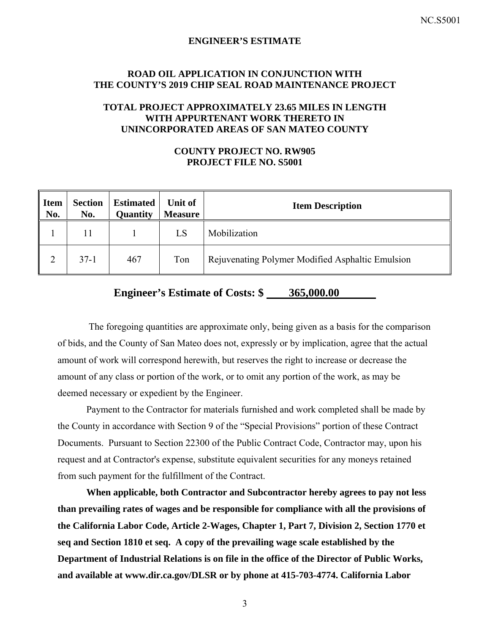#### **ENGINEER'S ESTIMATE**

#### **ROAD OIL APPLICATION IN CONJUNCTION WITH THE COUNTY'S 2019 CHIP SEAL ROAD MAINTENANCE PROJECT**

# **TOTAL PROJECT APPROXIMATELY 23.65 MILES IN LENGTH WITH APPURTENANT WORK THERETO IN UNINCORPORATED AREAS OF SAN MATEO COUNTY**

# **COUNTY PROJECT NO. RW905 PROJECT FILE NO. S5001**

| <b>Item</b><br>No. | <b>Section</b><br>No. | <b>Estimated</b><br>Quantity | Unit of<br><b>Measure</b> | <b>Item Description</b>                          |
|--------------------|-----------------------|------------------------------|---------------------------|--------------------------------------------------|
|                    | 11                    |                              | LS                        | Mobilization                                     |
|                    | $37-1$                | 467                          | Ton                       | Rejuvenating Polymer Modified Asphaltic Emulsion |

# **Engineer's Estimate of Costs: \$ 365,000.00**

 The foregoing quantities are approximate only, being given as a basis for the comparison of bids, and the County of San Mateo does not, expressly or by implication, agree that the actual amount of work will correspond herewith, but reserves the right to increase or decrease the amount of any class or portion of the work, or to omit any portion of the work, as may be deemed necessary or expedient by the Engineer.

Payment to the Contractor for materials furnished and work completed shall be made by the County in accordance with Section 9 of the "Special Provisions" portion of these Contract Documents. Pursuant to Section 22300 of the Public Contract Code, Contractor may, upon his request and at Contractor's expense, substitute equivalent securities for any moneys retained from such payment for the fulfillment of the Contract.

**When applicable, both Contractor and Subcontractor hereby agrees to pay not less than prevailing rates of wages and be responsible for compliance with all the provisions of the California Labor Code, Article 2-Wages, Chapter 1, Part 7, Division 2, Section 1770 et seq and Section 1810 et seq. A copy of the prevailing wage scale established by the Department of Industrial Relations is on file in the office of the Director of Public Works, and available at www.dir.ca.gov/DLSR or by phone at 415-703-4774. California Labor**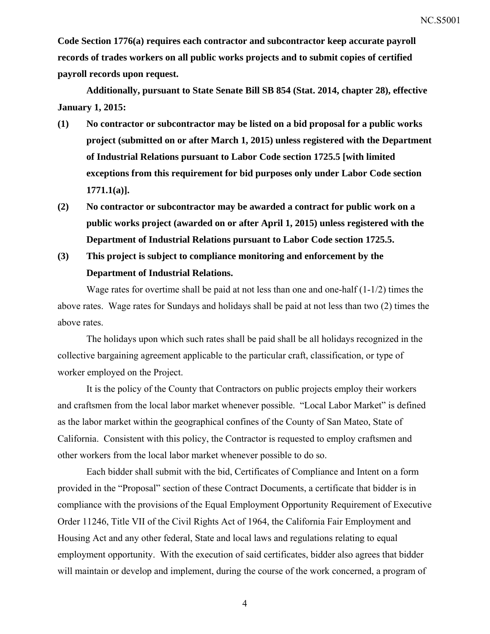**Code Section 1776(a) requires each contractor and subcontractor keep accurate payroll records of trades workers on all public works projects and to submit copies of certified payroll records upon request.** 

**Additionally, pursuant to State Senate Bill SB 854 (Stat. 2014, chapter 28), effective January 1, 2015:** 

- **(1) No contractor or subcontractor may be listed on a bid proposal for a public works project (submitted on or after March 1, 2015) unless registered with the Department of Industrial Relations pursuant to Labor Code section 1725.5 [with limited exceptions from this requirement for bid purposes only under Labor Code section 1771.1(a)].**
- **(2) No contractor or subcontractor may be awarded a contract for public work on a public works project (awarded on or after April 1, 2015) unless registered with the Department of Industrial Relations pursuant to Labor Code section 1725.5.**
- **(3) This project is subject to compliance monitoring and enforcement by the Department of Industrial Relations.**

Wage rates for overtime shall be paid at not less than one and one-half (1-1/2) times the above rates. Wage rates for Sundays and holidays shall be paid at not less than two (2) times the above rates.

The holidays upon which such rates shall be paid shall be all holidays recognized in the collective bargaining agreement applicable to the particular craft, classification, or type of worker employed on the Project.

It is the policy of the County that Contractors on public projects employ their workers and craftsmen from the local labor market whenever possible. "Local Labor Market" is defined as the labor market within the geographical confines of the County of San Mateo, State of California. Consistent with this policy, the Contractor is requested to employ craftsmen and other workers from the local labor market whenever possible to do so.

Each bidder shall submit with the bid, Certificates of Compliance and Intent on a form provided in the "Proposal" section of these Contract Documents, a certificate that bidder is in compliance with the provisions of the Equal Employment Opportunity Requirement of Executive Order 11246, Title VII of the Civil Rights Act of 1964, the California Fair Employment and Housing Act and any other federal, State and local laws and regulations relating to equal employment opportunity. With the execution of said certificates, bidder also agrees that bidder will maintain or develop and implement, during the course of the work concerned, a program of

4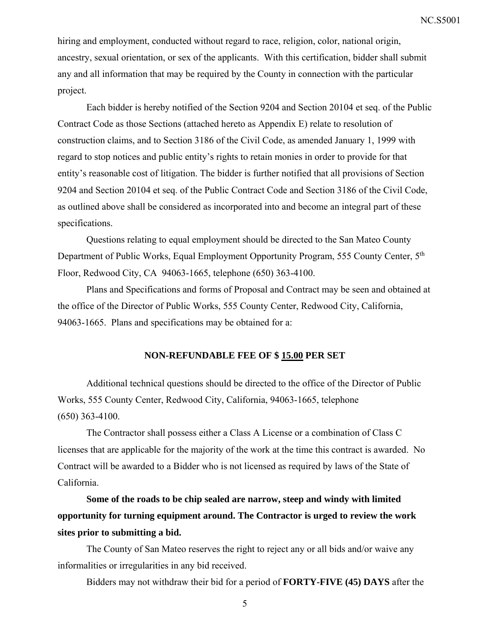hiring and employment, conducted without regard to race, religion, color, national origin, ancestry, sexual orientation, or sex of the applicants. With this certification, bidder shall submit any and all information that may be required by the County in connection with the particular project.

Each bidder is hereby notified of the Section 9204 and Section 20104 et seq. of the Public Contract Code as those Sections (attached hereto as Appendix E) relate to resolution of construction claims, and to Section 3186 of the Civil Code, as amended January 1, 1999 with regard to stop notices and public entity's rights to retain monies in order to provide for that entity's reasonable cost of litigation. The bidder is further notified that all provisions of Section 9204 and Section 20104 et seq. of the Public Contract Code and Section 3186 of the Civil Code, as outlined above shall be considered as incorporated into and become an integral part of these specifications.

Questions relating to equal employment should be directed to the San Mateo County Department of Public Works, Equal Employment Opportunity Program, 555 County Center, 5th Floor, Redwood City, CA 94063-1665, telephone (650) 363-4100.

Plans and Specifications and forms of Proposal and Contract may be seen and obtained at the office of the Director of Public Works, 555 County Center, Redwood City, California, 94063-1665. Plans and specifications may be obtained for a:

#### **NON-REFUNDABLE FEE OF \$ 15.00 PER SET**

Additional technical questions should be directed to the office of the Director of Public Works, 555 County Center, Redwood City, California, 94063-1665, telephone (650) 363-4100.

The Contractor shall possess either a Class A License or a combination of Class C licenses that are applicable for the majority of the work at the time this contract is awarded. No Contract will be awarded to a Bidder who is not licensed as required by laws of the State of California.

**Some of the roads to be chip sealed are narrow, steep and windy with limited opportunity for turning equipment around. The Contractor is urged to review the work sites prior to submitting a bid.** 

The County of San Mateo reserves the right to reject any or all bids and/or waive any informalities or irregularities in any bid received.

Bidders may not withdraw their bid for a period of **FORTY-FIVE (45) DAYS** after the

5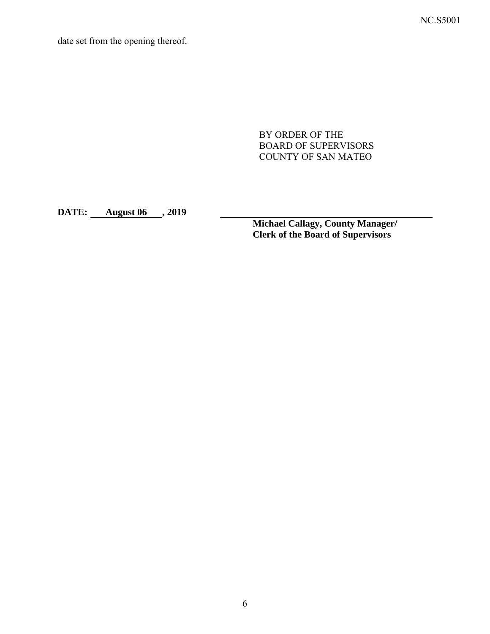NC.S5001

date set from the opening thereof.

BY ORDER OF THE BOARD OF SUPERVISORS COUNTY OF SAN MATEO

**DATE: August 06 , 2019** 

**Michael Callagy, County Manager/ Clerk of the Board of Supervisors**